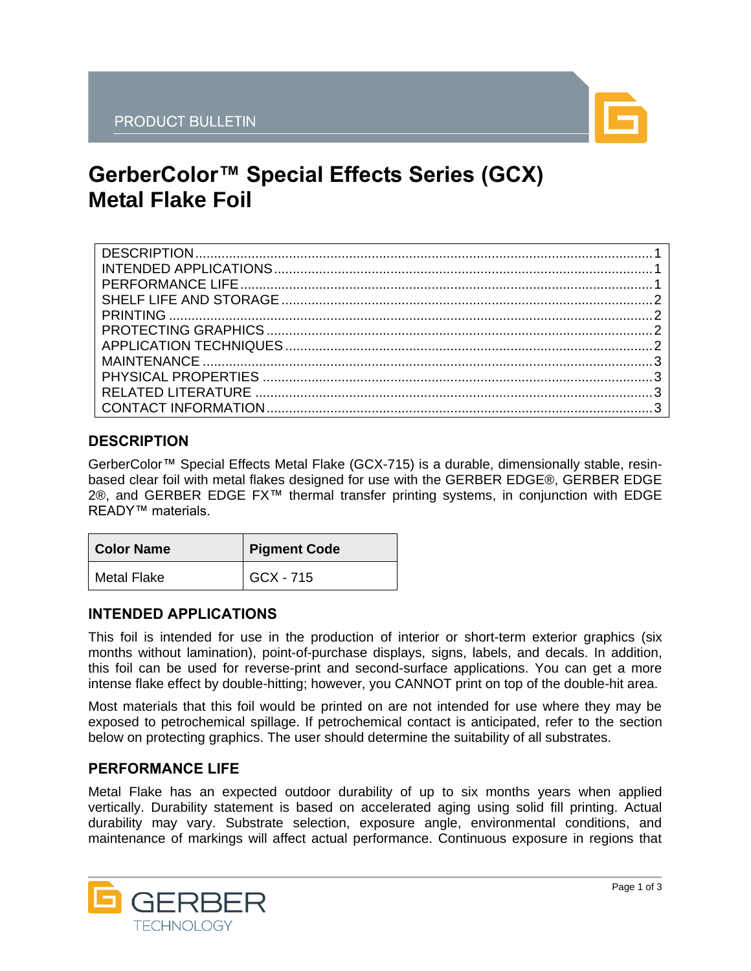

# **GerberColor™ Special Effects Series (GCX) Metal Flake Foil**

## <span id="page-0-0"></span>**DESCRIPTION**

GerberColor™ Special Effects Metal Flake (GCX-715) is a durable, dimensionally stable, resinbased clear foil with metal flakes designed for use with the GERBER EDGE®, GERBER EDGE 2®, and GERBER EDGE FX™ thermal transfer printing systems, in conjunction with EDGE READY™ materials.

| <b>Color Name</b> | Pigment Code |
|-------------------|--------------|
| Metal Flake       | GCX - 715    |

## <span id="page-0-1"></span>**INTENDED APPLICATIONS**

This foil is intended for use in the production of interior or short-term exterior graphics (six months without lamination), point-of-purchase displays, signs, labels, and decals. In addition, this foil can be used for reverse-print and second-surface applications. You can get a more intense flake effect by double-hitting; however, you CANNOT print on top of the double-hit area.

Most materials that this foil would be printed on are not intended for use where they may be exposed to petrochemical spillage. If petrochemical contact is anticipated, refer to the section below on protecting graphics. The user should determine the suitability of all substrates.

## <span id="page-0-2"></span>**PERFORMANCE LIFE**

Metal Flake has an expected outdoor durability of up to six months years when applied vertically. Durability statement is based on accelerated aging using solid fill printing. Actual durability may vary. Substrate selection, exposure angle, environmental conditions, and maintenance of markings will affect actual performance. Continuous exposure in regions that

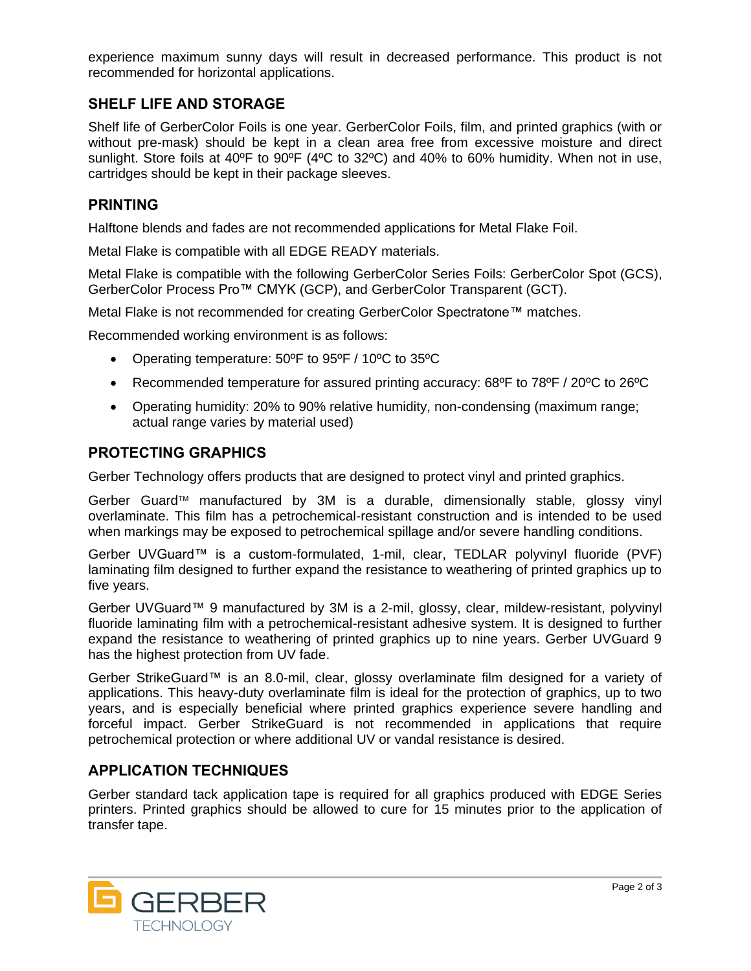experience maximum sunny days will result in decreased performance. This product is not recommended for horizontal applications.

## <span id="page-1-0"></span>**SHELF LIFE AND STORAGE**

Shelf life of GerberColor Foils is one year. GerberColor Foils, film, and printed graphics (with or without pre-mask) should be kept in a clean area free from excessive moisture and direct sunlight. Store foils at 40ºF to 90ºF (4ºC to 32ºC) and 40% to 60% humidity. When not in use, cartridges should be kept in their package sleeves.

#### <span id="page-1-1"></span>**PRINTING**

Halftone blends and fades are not recommended applications for Metal Flake Foil.

Metal Flake is compatible with all EDGE READY materials.

Metal Flake is compatible with the following GerberColor Series Foils: GerberColor Spot (GCS), GerberColor Process Pro™ CMYK (GCP), and GerberColor Transparent (GCT).

Metal Flake is not recommended for creating GerberColor Spectratone™ matches.

Recommended working environment is as follows:

- Operating temperature: 50ºF to 95ºF / 10ºC to 35ºC
- Recommended temperature for assured printing accuracy: 68ºF to 78ºF / 20ºC to 26ºC
- Operating humidity: 20% to 90% relative humidity, non-condensing (maximum range; actual range varies by material used)

#### <span id="page-1-2"></span>**PROTECTING GRAPHICS**

Gerber Technology offers products that are designed to protect vinyl and printed graphics.

Gerber Guard<sup> $M$ </sup> manufactured by 3M is a durable, dimensionally stable, glossy vinyl overlaminate. This film has a petrochemical-resistant construction and is intended to be used when markings may be exposed to petrochemical spillage and/or severe handling conditions.

Gerber UVGuard™ is a custom-formulated, 1-mil, clear, TEDLAR polyvinyl fluoride (PVF) laminating film designed to further expand the resistance to weathering of printed graphics up to five years.

Gerber UVGuard™ 9 manufactured by 3M is a 2-mil, glossy, clear, mildew-resistant, polyvinyl fluoride laminating film with a petrochemical-resistant adhesive system. It is designed to further expand the resistance to weathering of printed graphics up to nine years. Gerber UVGuard 9 has the highest protection from UV fade.

Gerber StrikeGuard™ is an 8.0-mil, clear, glossy overlaminate film designed for a variety of applications. This heavy-duty overlaminate film is ideal for the protection of graphics, up to two years, and is especially beneficial where printed graphics experience severe handling and forceful impact. Gerber StrikeGuard is not recommended in applications that require petrochemical protection or where additional UV or vandal resistance is desired.

#### <span id="page-1-3"></span>**APPLICATION TECHNIQUES**

Gerber standard tack application tape is required for all graphics produced with EDGE Series printers. Printed graphics should be allowed to cure for 15 minutes prior to the application of transfer tape.